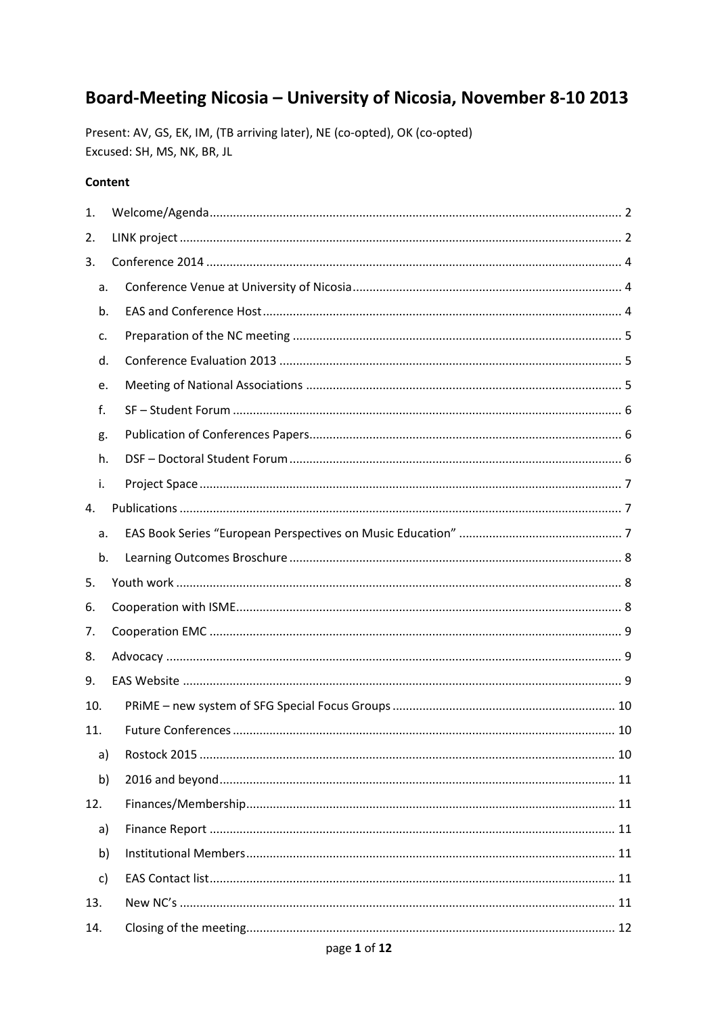# Board-Meeting Nicosia - University of Nicosia, November 8-10 2013

Present: AV, GS, EK, IM, (TB arriving later), NE (co-opted), OK (co-opted) Excused: SH, MS, NK, BR, JL

#### Content

| 1.  |  |  |  |  |  |  |
|-----|--|--|--|--|--|--|
| 2.  |  |  |  |  |  |  |
| 3.  |  |  |  |  |  |  |
| a.  |  |  |  |  |  |  |
| b.  |  |  |  |  |  |  |
| c.  |  |  |  |  |  |  |
| d.  |  |  |  |  |  |  |
| e.  |  |  |  |  |  |  |
| f.  |  |  |  |  |  |  |
| g.  |  |  |  |  |  |  |
| h.  |  |  |  |  |  |  |
| i.  |  |  |  |  |  |  |
| 4.  |  |  |  |  |  |  |
| a.  |  |  |  |  |  |  |
| b.  |  |  |  |  |  |  |
| 5.  |  |  |  |  |  |  |
| 6.  |  |  |  |  |  |  |
| 7.  |  |  |  |  |  |  |
| 8.  |  |  |  |  |  |  |
| 9.  |  |  |  |  |  |  |
| 10. |  |  |  |  |  |  |
| 11. |  |  |  |  |  |  |
| a)  |  |  |  |  |  |  |
| b)  |  |  |  |  |  |  |
| 12. |  |  |  |  |  |  |
| a)  |  |  |  |  |  |  |
| b)  |  |  |  |  |  |  |
| c)  |  |  |  |  |  |  |
| 13. |  |  |  |  |  |  |
| 14. |  |  |  |  |  |  |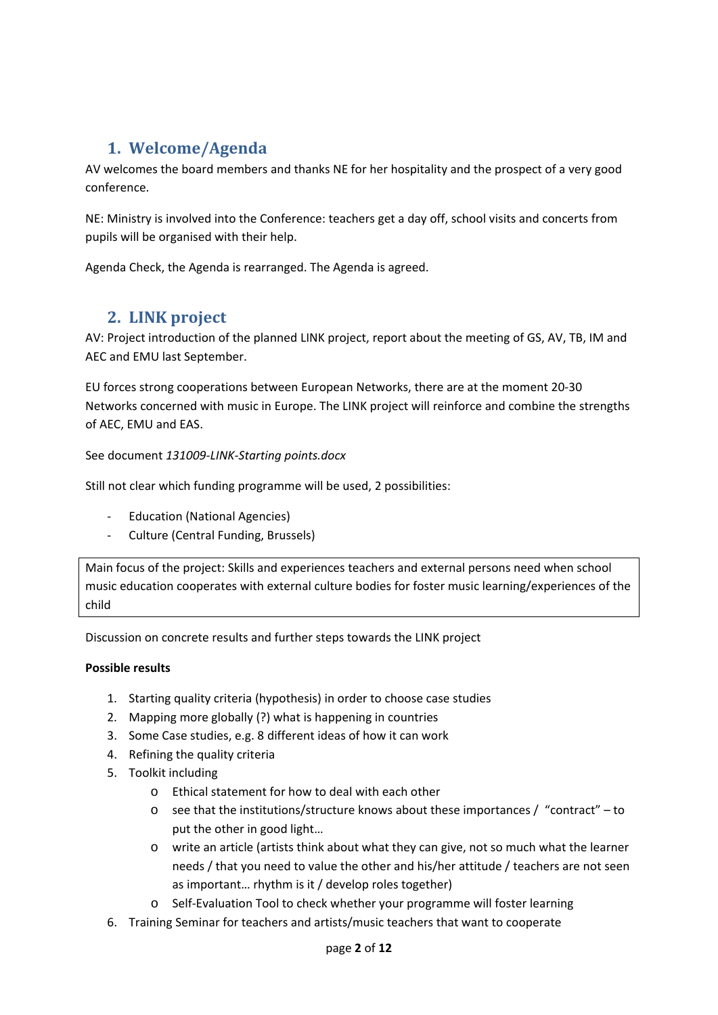# <span id="page-1-0"></span>**1. Welcome/Agenda**

AV welcomes the board members and thanks NE for her hospitality and the prospect of a very good conference.

NE: Ministry is involved into the Conference: teachers get a day off, school visits and concerts from pupils will be organised with their help.

Agenda Check, the Agenda is rearranged. The Agenda is agreed.

## <span id="page-1-1"></span>**2. LINK project**

AV: Project introduction of the planned LINK project, report about the meeting of GS, AV, TB, IM and AEC and EMU last September.

EU forces strong cooperations between European Networks, there are at the moment 20-30 Networks concerned with music in Europe. The LINK project will reinforce and combine the strengths of AEC, EMU and EAS.

See document *131009-LINK-Starting points.docx*

Still not clear which funding programme will be used, 2 possibilities:

- Education (National Agencies)
- Culture (Central Funding, Brussels)

Main focus of the project: Skills and experiences teachers and external persons need when school music education cooperates with external culture bodies for foster music learning/experiences of the child

Discussion on concrete results and further steps towards the LINK project

#### **Possible results**

- 1. Starting quality criteria (hypothesis) in order to choose case studies
- 2. Mapping more globally (?) what is happening in countries
- 3. Some Case studies, e.g. 8 different ideas of how it can work
- 4. Refining the quality criteria
- 5. Toolkit including
	- o Ethical statement for how to deal with each other
	- $\circ$  see that the institutions/structure knows about these importances / "contract" to put the other in good light…
	- o write an article (artists think about what they can give, not so much what the learner needs / that you need to value the other and his/her attitude / teachers are not seen as important… rhythm is it / develop roles together)
	- o Self-Evaluation Tool to check whether your programme will foster learning
- 6. Training Seminar for teachers and artists/music teachers that want to cooperate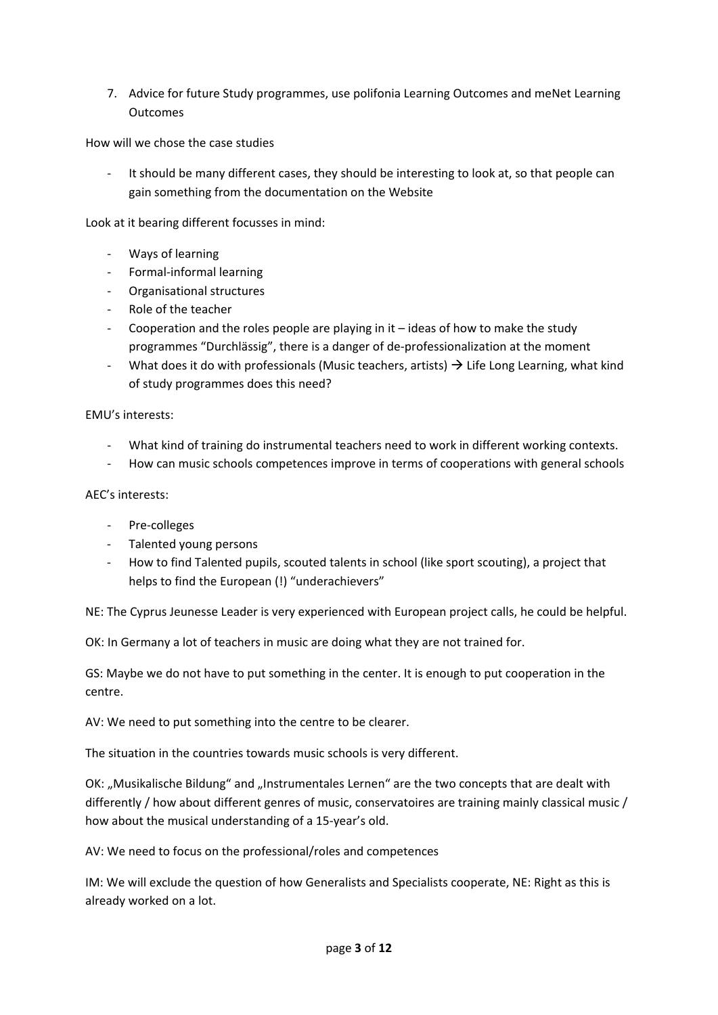7. Advice for future Study programmes, use polifonia Learning Outcomes and meNet Learning **Outcomes** 

How will we chose the case studies

It should be many different cases, they should be interesting to look at, so that people can gain something from the documentation on the Website

Look at it bearing different focusses in mind:

- Ways of learning
- Formal-informal learning
- Organisational structures
- Role of the teacher
- Cooperation and the roles people are playing in it ideas of how to make the study programmes "Durchlässig", there is a danger of de-professionalization at the moment
- What does it do with professionals (Music teachers, artists)  $\rightarrow$  Life Long Learning, what kind of study programmes does this need?

#### EMU's interests:

- What kind of training do instrumental teachers need to work in different working contexts.
- How can music schools competences improve in terms of cooperations with general schools

#### AEC's interests:

- Pre-colleges
- Talented young persons
- How to find Talented pupils, scouted talents in school (like sport scouting), a project that helps to find the European (!) "underachievers"

NE: The Cyprus Jeunesse Leader is very experienced with European project calls, he could be helpful.

OK: In Germany a lot of teachers in music are doing what they are not trained for.

GS: Maybe we do not have to put something in the center. It is enough to put cooperation in the centre.

AV: We need to put something into the centre to be clearer.

The situation in the countries towards music schools is very different.

OK: "Musikalische Bildung" and "Instrumentales Lernen" are the two concepts that are dealt with differently / how about different genres of music, conservatoires are training mainly classical music / how about the musical understanding of a 15-year's old.

AV: We need to focus on the professional/roles and competences

IM: We will exclude the question of how Generalists and Specialists cooperate, NE: Right as this is already worked on a lot.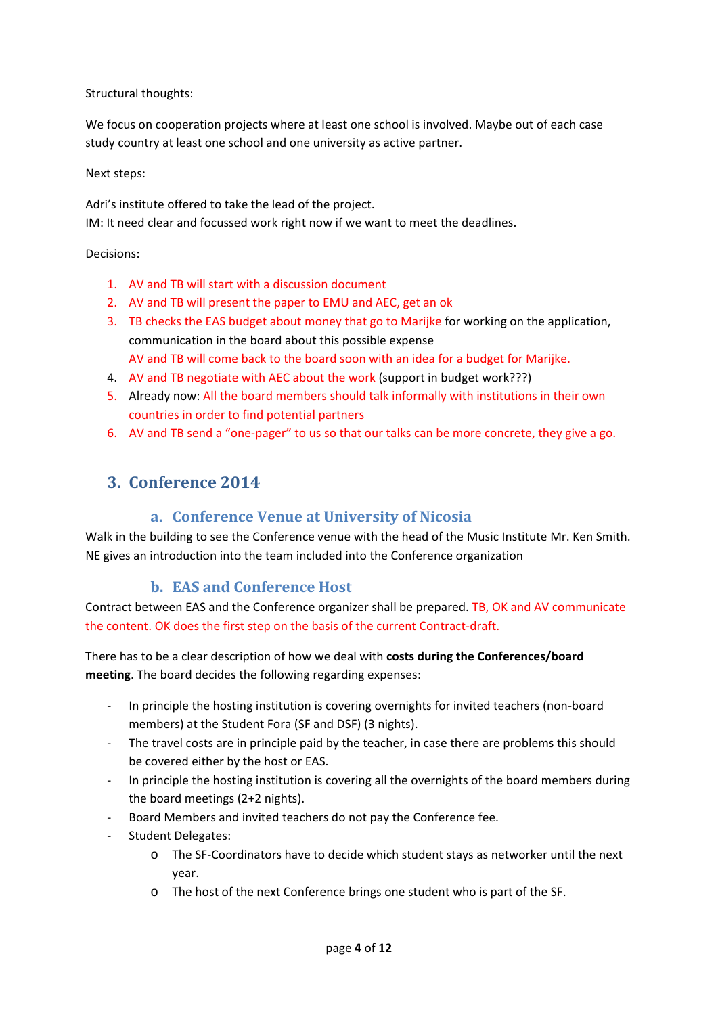Structural thoughts:

We focus on cooperation projects where at least one school is involved. Maybe out of each case study country at least one school and one university as active partner.

#### Next steps:

Adri's institute offered to take the lead of the project.

IM: It need clear and focussed work right now if we want to meet the deadlines.

#### Decisions:

- 1. AV and TB will start with a discussion document
- 2. AV and TB will present the paper to EMU and AEC, get an ok
- 3. TB checks the EAS budget about money that go to Marijke for working on the application, communication in the board about this possible expense AV and TB will come back to the board soon with an idea for a budget for Marijke.
- 4. AV and TB negotiate with AEC about the work (support in budget work???)
- 5. Already now: All the board members should talk informally with institutions in their own countries in order to find potential partners
- 6. AV and TB send a "one-pager" to us so that our talks can be more concrete, they give a go.

## <span id="page-3-1"></span><span id="page-3-0"></span>**3. Conference 2014**

### **a. Conference Venue at University of Nicosia**

Walk in the building to see the Conference venue with the head of the Music Institute Mr. Ken Smith. NE gives an introduction into the team included into the Conference organization

### **b. EAS and Conference Host**

<span id="page-3-2"></span>Contract between EAS and the Conference organizer shall be prepared. TB, OK and AV communicate the content. OK does the first step on the basis of the current Contract-draft.

There has to be a clear description of how we deal with **costs during the Conferences/board meeting**. The board decides the following regarding expenses:

- In principle the hosting institution is covering overnights for invited teachers (non-board members) at the Student Fora (SF and DSF) (3 nights).
- The travel costs are in principle paid by the teacher, in case there are problems this should be covered either by the host or EAS.
- In principle the hosting institution is covering all the overnights of the board members during the board meetings (2+2 nights).
- Board Members and invited teachers do not pay the Conference fee.
- Student Delegates:
	- o The SF-Coordinators have to decide which student stays as networker until the next year.
	- o The host of the next Conference brings one student who is part of the SF.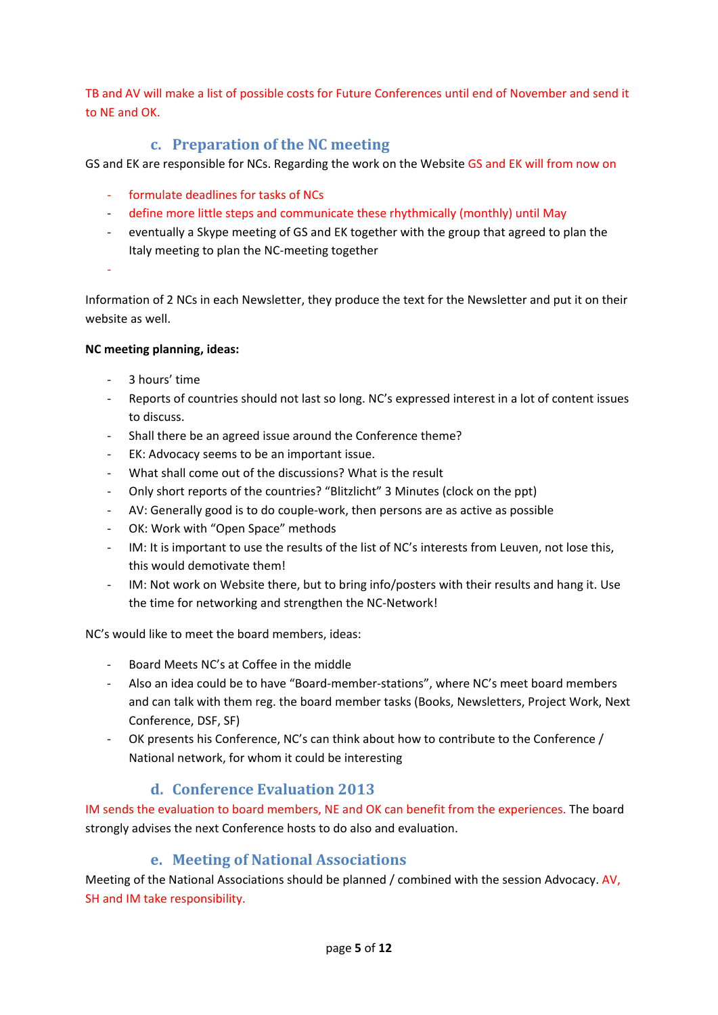TB and AV will make a list of possible costs for Future Conferences until end of November and send it to NE and OK.

## **c. Preparation of the NC meeting**

<span id="page-4-0"></span>GS and EK are responsible for NCs. Regarding the work on the Website GS and EK will from now on

- formulate deadlines for tasks of NCs
- define more little steps and communicate these rhythmically (monthly) until May
- eventually a Skype meeting of GS and EK together with the group that agreed to plan the Italy meeting to plan the NC-meeting together
- -

Information of 2 NCs in each Newsletter, they produce the text for the Newsletter and put it on their website as well.

#### **NC meeting planning, ideas:**

- 3 hours' time
- Reports of countries should not last so long. NC's expressed interest in a lot of content issues to discuss.
- Shall there be an agreed issue around the Conference theme?
- EK: Advocacy seems to be an important issue.
- What shall come out of the discussions? What is the result
- Only short reports of the countries? "Blitzlicht" 3 Minutes (clock on the ppt)
- AV: Generally good is to do couple-work, then persons are as active as possible
- OK: Work with "Open Space" methods
- IM: It is important to use the results of the list of NC's interests from Leuven, not lose this, this would demotivate them!
- IM: Not work on Website there, but to bring info/posters with their results and hang it. Use the time for networking and strengthen the NC-Network!

NC's would like to meet the board members, ideas:

- Board Meets NC's at Coffee in the middle
- Also an idea could be to have "Board-member-stations", where NC's meet board members and can talk with them reg. the board member tasks (Books, Newsletters, Project Work, Next Conference, DSF, SF)
- OK presents his Conference, NC's can think about how to contribute to the Conference / National network, for whom it could be interesting

### **d. Conference Evaluation 2013**

<span id="page-4-1"></span>IM sends the evaluation to board members, NE and OK can benefit from the experiences. The board strongly advises the next Conference hosts to do also and evaluation.

### **e. Meeting of National Associations**

<span id="page-4-2"></span>Meeting of the National Associations should be planned / combined with the session Advocacy. AV, SH and IM take responsibility.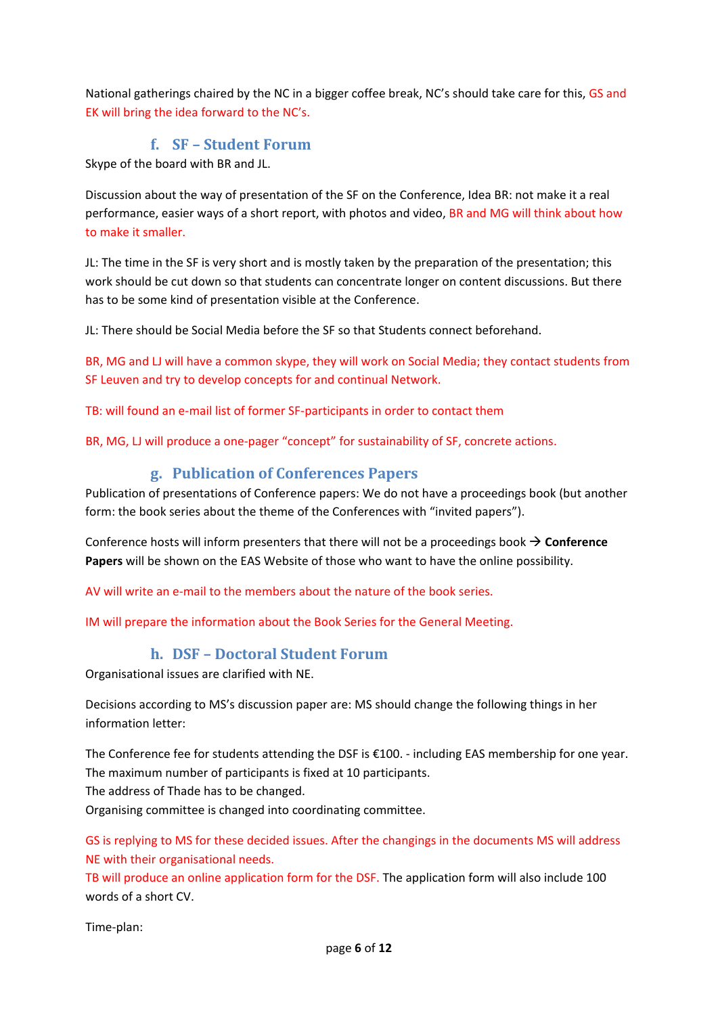National gatherings chaired by the NC in a bigger coffee break, NC's should take care for this, GS and EK will bring the idea forward to the NC's.

## **f. SF – Student Forum**

<span id="page-5-0"></span>Skype of the board with BR and JL.

Discussion about the way of presentation of the SF on the Conference, Idea BR: not make it a real performance, easier ways of a short report, with photos and video, BR and MG will think about how to make it smaller.

JL: The time in the SF is very short and is mostly taken by the preparation of the presentation; this work should be cut down so that students can concentrate longer on content discussions. But there has to be some kind of presentation visible at the Conference.

JL: There should be Social Media before the SF so that Students connect beforehand.

BR, MG and LJ will have a common skype, they will work on Social Media; they contact students from SF Leuven and try to develop concepts for and continual Network.

TB: will found an e-mail list of former SF-participants in order to contact them

BR, MG, LJ will produce a one-pager "concept" for sustainability of SF, concrete actions.

### **g. Publication of Conferences Papers**

<span id="page-5-1"></span>Publication of presentations of Conference papers: We do not have a proceedings book (but another form: the book series about the theme of the Conferences with "invited papers").

Conference hosts will inform presenters that there will not be a proceedings book  $\rightarrow$  Conference **Papers** will be shown on the EAS Website of those who want to have the online possibility.

AV will write an e-mail to the members about the nature of the book series.

IM will prepare the information about the Book Series for the General Meeting.

### **h. DSF – Doctoral Student Forum**

<span id="page-5-2"></span>Organisational issues are clarified with NE.

Decisions according to MS's discussion paper are: MS should change the following things in her information letter:

The Conference fee for students attending the DSF is €100. - including EAS membership for one year. The maximum number of participants is fixed at 10 participants.

The address of Thade has to be changed.

Organising committee is changed into coordinating committee.

GS is replying to MS for these decided issues. After the changings in the documents MS will address NE with their organisational needs.

TB will produce an online application form for the DSF. The application form will also include 100 words of a short CV.

Time-plan: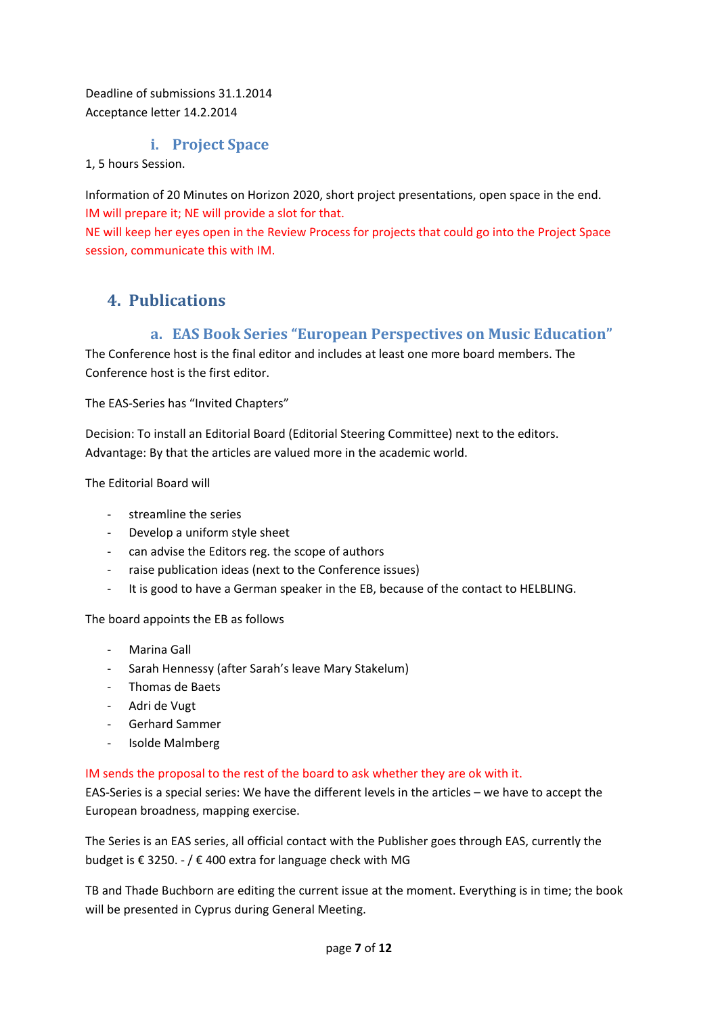Deadline of submissions 31.1.2014 Acceptance letter 14.2.2014

### **i. Project Space**

#### <span id="page-6-0"></span>1, 5 hours Session.

Information of 20 Minutes on Horizon 2020, short project presentations, open space in the end. IM will prepare it; NE will provide a slot for that.

NE will keep her eyes open in the Review Process for projects that could go into the Project Space session, communicate this with IM.

## <span id="page-6-2"></span><span id="page-6-1"></span>**4. Publications**

### **a. EAS Book Series "European Perspectives on Music Education"**

The Conference host is the final editor and includes at least one more board members. The Conference host is the first editor.

The EAS-Series has "Invited Chapters"

Decision: To install an Editorial Board (Editorial Steering Committee) next to the editors. Advantage: By that the articles are valued more in the academic world.

The Editorial Board will

- streamline the series
- Develop a uniform style sheet
- can advise the Editors reg. the scope of authors
- raise publication ideas (next to the Conference issues)
- It is good to have a German speaker in the EB, because of the contact to HELBLING.

The board appoints the EB as follows

- Marina Gall
- Sarah Hennessy (after Sarah's leave Mary Stakelum)
- Thomas de Baets
- Adri de Vugt
- Gerhard Sammer
- Isolde Malmberg

#### IM sends the proposal to the rest of the board to ask whether they are ok with it.

EAS-Series is a special series: We have the different levels in the articles – we have to accept the European broadness, mapping exercise.

The Series is an EAS series, all official contact with the Publisher goes through EAS, currently the budget is € 3250. - / € 400 extra for language check with MG

TB and Thade Buchborn are editing the current issue at the moment. Everything is in time; the book will be presented in Cyprus during General Meeting.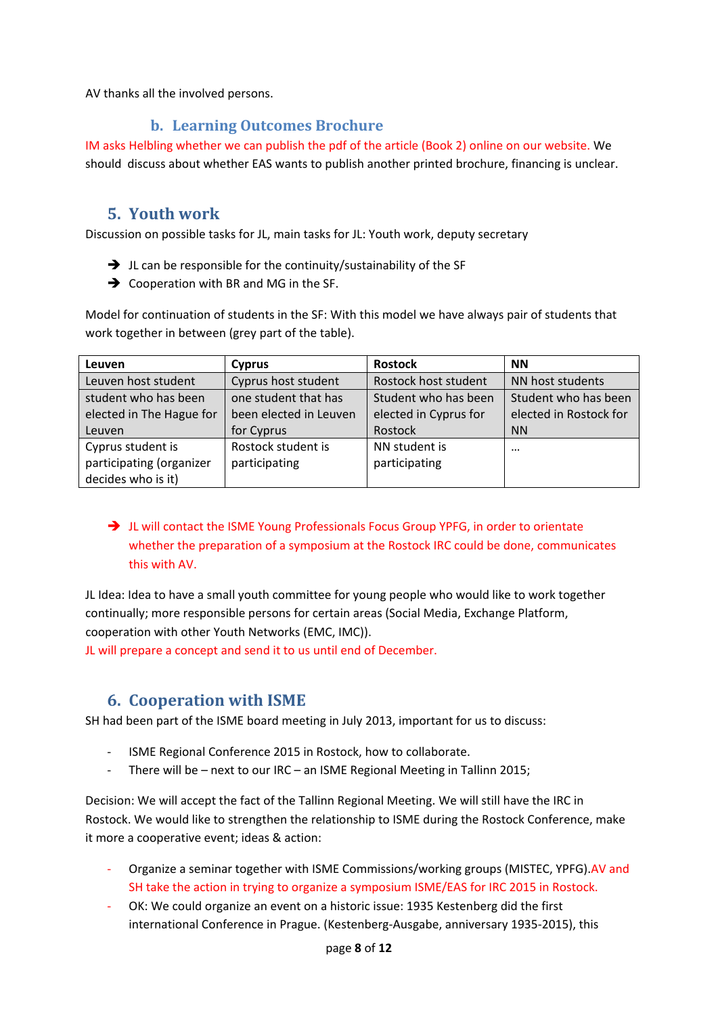AV thanks all the involved persons.

### **b. Learning Outcomes Brochure**

<span id="page-7-0"></span>IM asks Helbling whether we can publish the pdf of the article (Book 2) online on our website. We should discuss about whether EAS wants to publish another printed brochure, financing is unclear.

### <span id="page-7-1"></span>**5. Youth work**

Discussion on possible tasks for JL, main tasks for JL: Youth work, deputy secretary

- $\rightarrow$  JL can be responsible for the continuity/sustainability of the SF
- $\rightarrow$  Cooperation with BR and MG in the SF.

Model for continuation of students in the SF: With this model we have always pair of students that work together in between (grey part of the table).

| Leuven                   | <b>Cyprus</b>          | <b>Rostock</b>        | <b>NN</b>              |
|--------------------------|------------------------|-----------------------|------------------------|
| Leuven host student      | Cyprus host student    | Rostock host student  | NN host students       |
| student who has been     | one student that has   | Student who has been  | Student who has been   |
| elected in The Hague for | been elected in Leuven | elected in Cyprus for | elected in Rostock for |
| Leuven                   | for Cyprus             | Rostock               | <b>NN</b>              |
| Cyprus student is        | Rostock student is     | NN student is         | $\cdots$               |
| participating (organizer | participating          | participating         |                        |
| decides who is it)       |                        |                       |                        |

→ JL will contact the ISME Young Professionals Focus Group YPFG, in order to orientate whether the preparation of a symposium at the Rostock IRC could be done, communicates this with AV.

JL Idea: Idea to have a small youth committee for young people who would like to work together continually; more responsible persons for certain areas (Social Media, Exchange Platform, cooperation with other Youth Networks (EMC, IMC)).

<span id="page-7-2"></span>JL will prepare a concept and send it to us until end of December.

## **6. Cooperation with ISME**

SH had been part of the ISME board meeting in July 2013, important for us to discuss:

- ISME Regional Conference 2015 in Rostock, how to collaborate.
- There will be next to our IRC an ISME Regional Meeting in Tallinn 2015;

Decision: We will accept the fact of the Tallinn Regional Meeting. We will still have the IRC in Rostock. We would like to strengthen the relationship to ISME during the Rostock Conference, make it more a cooperative event; ideas & action:

- Organize a seminar together with ISME Commissions/working groups (MISTEC, YPFG).AV and SH take the action in trying to organize a symposium ISME/EAS for IRC 2015 in Rostock.
- OK: We could organize an event on a historic issue: 1935 Kestenberg did the first international Conference in Prague. (Kestenberg-Ausgabe, anniversary 1935-2015), this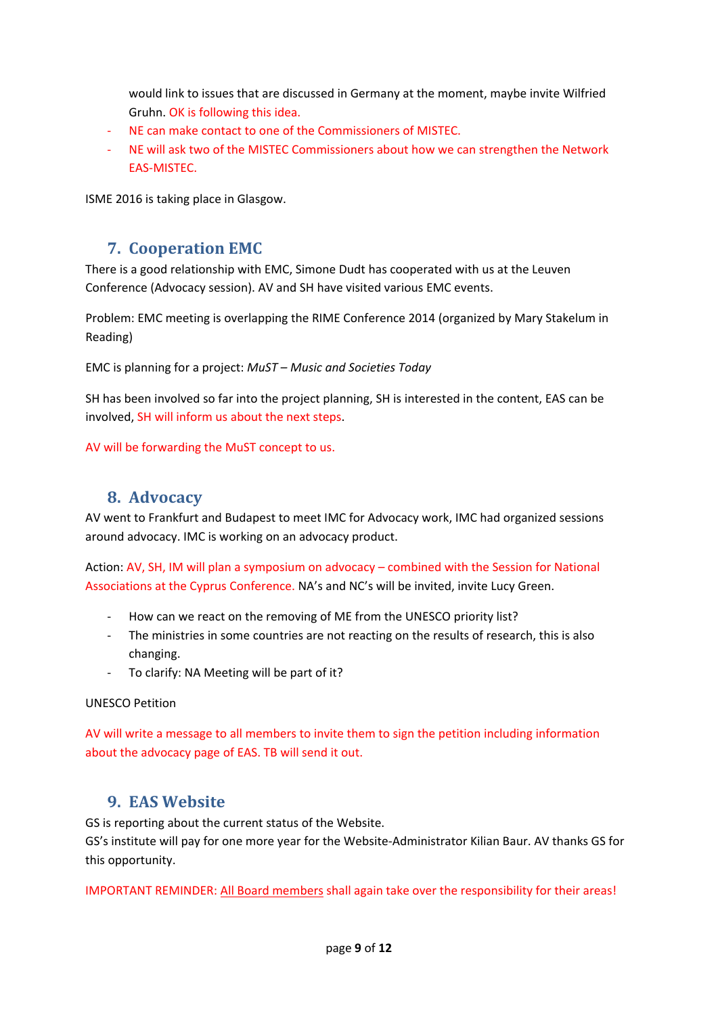would link to issues that are discussed in Germany at the moment, maybe invite Wilfried Gruhn. OK is following this idea.

- NE can make contact to one of the Commissioners of MISTEC.
- NE will ask two of the MISTEC Commissioners about how we can strengthen the Network EAS-MISTEC.

<span id="page-8-0"></span>ISME 2016 is taking place in Glasgow.

## **7. Cooperation EMC**

There is a good relationship with EMC, Simone Dudt has cooperated with us at the Leuven Conference (Advocacy session). AV and SH have visited various EMC events.

Problem: EMC meeting is overlapping the RIME Conference 2014 (organized by Mary Stakelum in Reading)

EMC is planning for a project: *MuST – Music and Societies Today*

SH has been involved so far into the project planning, SH is interested in the content, EAS can be involved, SH will inform us about the next steps.

<span id="page-8-1"></span>AV will be forwarding the MuST concept to us.

### **8. Advocacy**

AV went to Frankfurt and Budapest to meet IMC for Advocacy work, IMC had organized sessions around advocacy. IMC is working on an advocacy product.

Action: AV, SH, IM will plan a symposium on advocacy – combined with the Session for National Associations at the Cyprus Conference. NA's and NC's will be invited, invite Lucy Green.

- How can we react on the removing of ME from the UNESCO priority list?
- The ministries in some countries are not reacting on the results of research, this is also changing.
- To clarify: NA Meeting will be part of it?

#### UNESCO Petition

AV will write a message to all members to invite them to sign the petition including information about the advocacy page of EAS. TB will send it out.

## <span id="page-8-2"></span>**9. EAS Website**

GS is reporting about the current status of the Website.

GS's institute will pay for one more year for the Website-Administrator Kilian Baur. AV thanks GS for this opportunity.

IMPORTANT REMINDER: All Board members shall again take over the responsibility for their areas!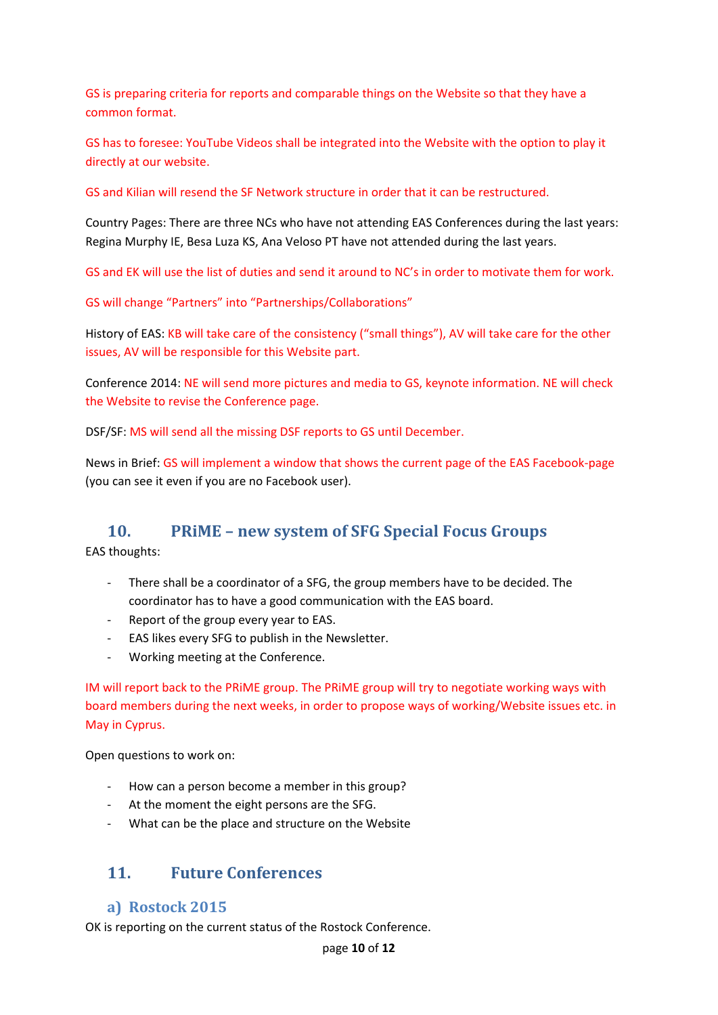GS is preparing criteria for reports and comparable things on the Website so that they have a common format.

GS has to foresee: YouTube Videos shall be integrated into the Website with the option to play it directly at our website.

GS and Kilian will resend the SF Network structure in order that it can be restructured.

Country Pages: There are three NCs who have not attending EAS Conferences during the last years: Regina Murphy IE, Besa Luza KS, Ana Veloso PT have not attended during the last years.

GS and EK will use the list of duties and send it around to NC's in order to motivate them for work.

GS will change "Partners" into "Partnerships/Collaborations"

History of EAS: KB will take care of the consistency ("small things"), AV will take care for the other issues, AV will be responsible for this Website part.

Conference 2014: NE will send more pictures and media to GS, keynote information. NE will check the Website to revise the Conference page.

DSF/SF: MS will send all the missing DSF reports to GS until December.

News in Brief: GS will implement a window that shows the current page of the EAS Facebook-page (you can see it even if you are no Facebook user).

### <span id="page-9-0"></span>**10. PRiME – new system of SFG Special Focus Groups**

EAS thoughts:

- There shall be a coordinator of a SFG, the group members have to be decided. The coordinator has to have a good communication with the EAS board.
- Report of the group every year to EAS.
- EAS likes every SFG to publish in the Newsletter.
- Working meeting at the Conference.

IM will report back to the PRiME group. The PRiME group will try to negotiate working ways with board members during the next weeks, in order to propose ways of working/Website issues etc. in May in Cyprus.

Open questions to work on:

- How can a person become a member in this group?
- At the moment the eight persons are the SFG.
- What can be the place and structure on the Website

## <span id="page-9-1"></span>**11. Future Conferences**

### <span id="page-9-2"></span>**a) Rostock 2015**

OK is reporting on the current status of the Rostock Conference.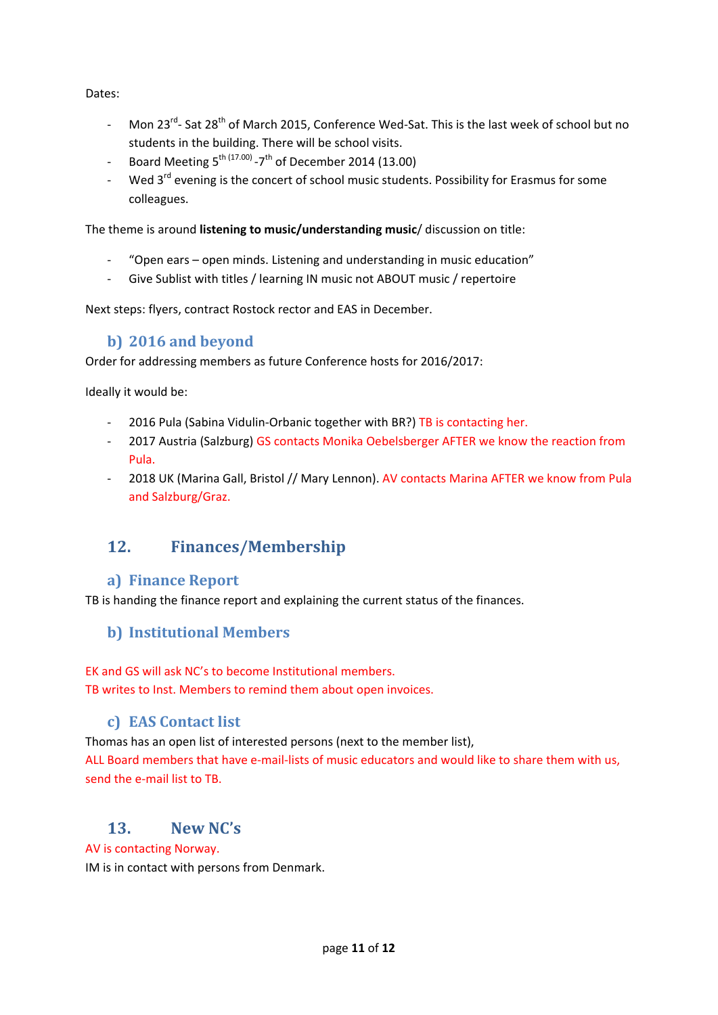Dates:

- Mon 23<sup>rd</sup>- Sat 28<sup>th</sup> of March 2015, Conference Wed-Sat. This is the last week of school but no students in the building. There will be school visits.
- Board Meeting  $5^{th (17.00)}$  -7<sup>th</sup> of December 2014 (13.00)
- Wed 3<sup>rd</sup> evening is the concert of school music students. Possibility for Erasmus for some colleagues.

The theme is around **listening to music/understanding music**/ discussion on title:

- "Open ears open minds. Listening and understanding in music education"
- Give Sublist with titles / learning IN music not ABOUT music / repertoire

Next steps: flyers, contract Rostock rector and EAS in December.

### **b) 2016 and beyond**

<span id="page-10-0"></span>Order for addressing members as future Conference hosts for 2016/2017:

Ideally it would be:

- 2016 Pula (Sabina Vidulin-Orbanic together with BR?) TB is contacting her.
- 2017 Austria (Salzburg) GS contacts Monika Oebelsberger AFTER we know the reaction from Pula.
- 2018 UK (Marina Gall, Bristol // Mary Lennon). AV contacts Marina AFTER we know from Pula and Salzburg/Graz.

## <span id="page-10-1"></span>**12. Finances/Membership**

### <span id="page-10-2"></span>**a) Finance Report**

TB is handing the finance report and explaining the current status of the finances.

### <span id="page-10-3"></span>**b) Institutional Members**

EK and GS will ask NC's to become Institutional members. TB writes to Inst. Members to remind them about open invoices.

### **c) EAS Contact list**

<span id="page-10-4"></span>Thomas has an open list of interested persons (next to the member list),

ALL Board members that have e-mail-lists of music educators and would like to share them with us, send the e-mail list to TB.

### <span id="page-10-5"></span>**13. New NC's**

AV is contacting Norway.

IM is in contact with persons from Denmark.